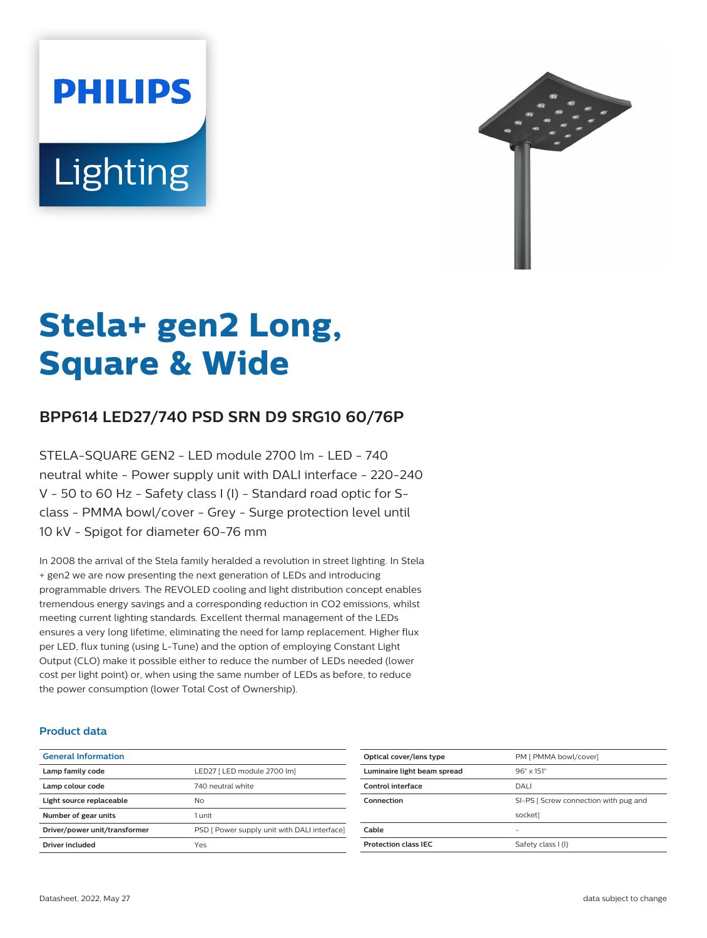# **PHILIPS Lighting**



# **Stela+ gen2 Long, Square & Wide**

# **BPP614 LED27/740 PSD SRN D9 SRG10 60/76P**

STELA-SQUARE GEN2 - LED module 2700 lm - LED - 740 neutral white - Power supply unit with DALI interface - 220-240 V - 50 to 60 Hz - Safety class I (I) - Standard road optic for Sclass - PMMA bowl/cover - Grey - Surge protection level until 10 kV - Spigot for diameter 60-76 mm

In 2008 the arrival of the Stela family heralded a revolution in street lighting. In Stela + gen2 we are now presenting the next generation of LEDs and introducing programmable drivers. The REVOLED cooling and light distribution concept enables tremendous energy savings and a corresponding reduction in CO2 emissions, whilst meeting current lighting standards. Excellent thermal management of the LEDs ensures a very long lifetime, eliminating the need for lamp replacement. Higher flux per LED, flux tuning (using L-Tune) and the option of employing Constant Light Output (CLO) make it possible either to reduce the number of LEDs needed (lower cost per light point) or, when using the same number of LEDs as before, to reduce the power consumption (lower Total Cost of Ownership).

#### **Product data**

| <b>General Information</b>    |                                              |
|-------------------------------|----------------------------------------------|
| Lamp family code              | LED27 [ LED module 2700 lm]                  |
| Lamp colour code              | 740 neutral white                            |
| Light source replaceable      | No                                           |
| Number of gear units          | 1 unit                                       |
| Driver/power unit/transformer | PSD [ Power supply unit with DALI interface] |
| Driver included               | Yes                                          |
|                               |                                              |

| SI-PS [ Screw connection with pug and |
|---------------------------------------|
|                                       |
|                                       |
|                                       |
|                                       |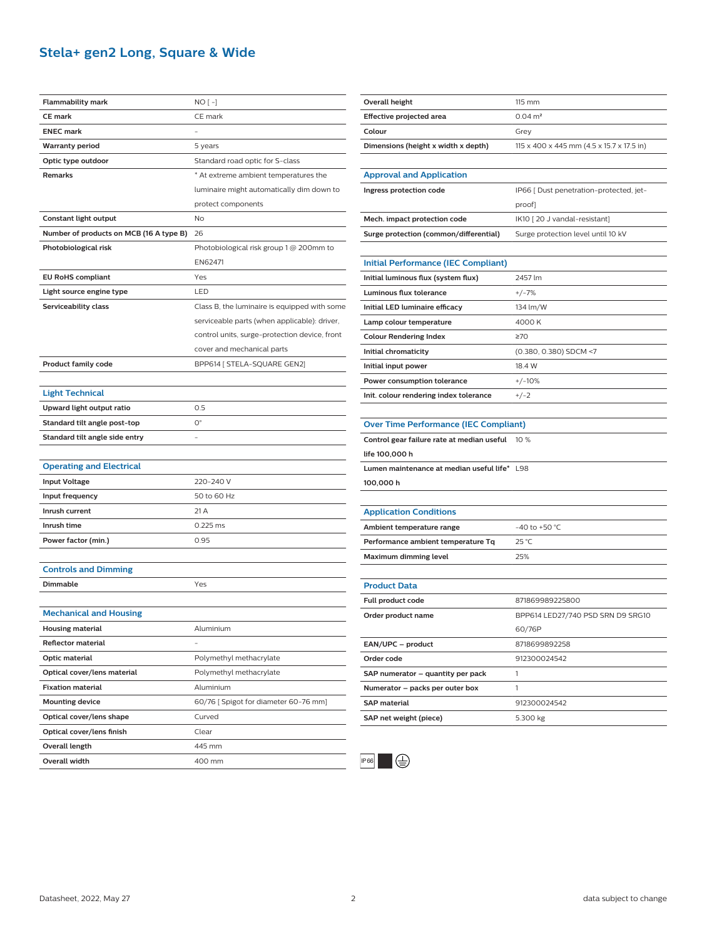## **Stela+ gen2 Long, Square & Wide**

| Flammability mark                       | NO [ -]                                       |
|-----------------------------------------|-----------------------------------------------|
| <b>CE</b> mark                          | CE mark                                       |
| <b>ENEC</b> mark                        |                                               |
| <b>Warranty period</b>                  | 5 years                                       |
| Optic type outdoor                      | Standard road optic for S-class               |
| <b>Remarks</b>                          | * At extreme ambient temperatures the         |
|                                         | luminaire might automatically dim down to     |
|                                         | protect components                            |
| Constant light output                   | No                                            |
| Number of products on MCB (16 A type B) | 26                                            |
| Photobiological risk                    | Photobiological risk group 1 @ 200mm to       |
|                                         | EN62471                                       |
| <b>EU RoHS compliant</b>                | Yes                                           |
| Light source engine type                | LED                                           |
| Serviceability class                    | Class B, the luminaire is equipped with some  |
|                                         | serviceable parts (when applicable): driver,  |
|                                         | control units, surge-protection device, front |
|                                         | cover and mechanical parts                    |
| <b>Product family code</b>              | BPP614 [ STELA-SQUARE GEN2]                   |
|                                         |                                               |
| <b>Light Technical</b>                  |                                               |
| Upward light output ratio               | 0.5                                           |
| Standard tilt angle post-top            | 0°                                            |
| Standard tilt angle side entry          |                                               |
|                                         |                                               |
| <b>Operating and Electrical</b>         |                                               |
| <b>Input Voltage</b>                    | 220-240 V                                     |
| Input frequency                         | 50 to 60 Hz                                   |
| Inrush current                          | 21 A                                          |
| Inrush time                             | 0.225 ms                                      |
| Power factor (min.)                     | 0.95                                          |
|                                         |                                               |
| <b>Controls and Dimming</b>             |                                               |
| Dimmable                                | Yes                                           |
|                                         |                                               |
| <b>Mechanical and Housing</b>           |                                               |
| Housing material                        | Aluminium                                     |
| <b>Reflector material</b>               |                                               |
| Optic material                          | Polymethyl methacrylate                       |
| Optical cover/lens material             | Polymethyl methacrylate                       |
| <b>Fixation material</b>                | Aluminium                                     |
| <b>Mounting device</b>                  | 60/76 [ Spigot for diameter 60-76 mm]         |
| Optical cover/lens shape                | Curved                                        |
| Optical cover/lens finish               | Clear                                         |
| Overall length                          | 445 mm                                        |
| Overall width                           | 400 mm                                        |
|                                         |                                               |

| Overall height                               | 115 mm                                    |
|----------------------------------------------|-------------------------------------------|
| <b>Effective projected area</b>              | $0.04 \, \text{m}^2$                      |
| Colour                                       | Grey                                      |
| Dimensions (height x width x depth)          | 115 x 400 x 445 mm (4.5 x 15.7 x 17.5 in) |
|                                              |                                           |
| <b>Approval and Application</b>              |                                           |
| Ingress protection code                      | IP66 [ Dust penetration-protected, jet-   |
|                                              | proof]                                    |
| Mech. impact protection code                 | IK10 [20 J vandal-resistant]              |
| Surge protection (common/differential)       | Surge protection level until 10 kV        |
|                                              |                                           |
| <b>Initial Performance (IEC Compliant)</b>   |                                           |
| Initial luminous flux (system flux)          | 2457 lm                                   |
| Luminous flux tolerance                      | $+/-7%$                                   |
| Initial LED luminaire efficacy               | 134 lm/W                                  |
| Lamp colour temperature                      | 4000 K                                    |
| <b>Colour Rendering Index</b>                | $\geq 70$                                 |
| Initial chromaticity                         | (0.380, 0.380) SDCM <7                    |
| Initial input power                          | 18.4 W                                    |
| Power consumption tolerance                  | $+/-10%$                                  |
| Init. colour rendering index tolerance       | $+/-2$                                    |
|                                              |                                           |
| <b>Over Time Performance (IEC Compliant)</b> |                                           |
| Control gear failure rate at median useful   | 10 %                                      |
| life 100,000 h                               |                                           |
| Lumen maintenance at median useful life* L98 |                                           |
| 100,000 h                                    |                                           |
|                                              |                                           |
| <b>Application Conditions</b>                |                                           |
| Ambient temperature range                    | -40 to +50 °C                             |
| Performance ambient temperature Tq           | 25 °C                                     |
| Maximum dimming level                        |                                           |
|                                              | 25%                                       |
|                                              |                                           |
| <b>Product Data</b>                          |                                           |
| Full product code                            | 871869989225800                           |
| Order product name                           | BPP614 LED27/740 PSD SRN D9 SRG10         |
|                                              | 60/76P                                    |
| EAN/UPC - product                            | 8718699892258                             |
| Order code                                   | 912300024542                              |
| SAP numerator – quantity per pack            | 1                                         |
| Numerator – packs per outer box              | 1                                         |
| <b>SAP</b> material                          | 912300024542                              |